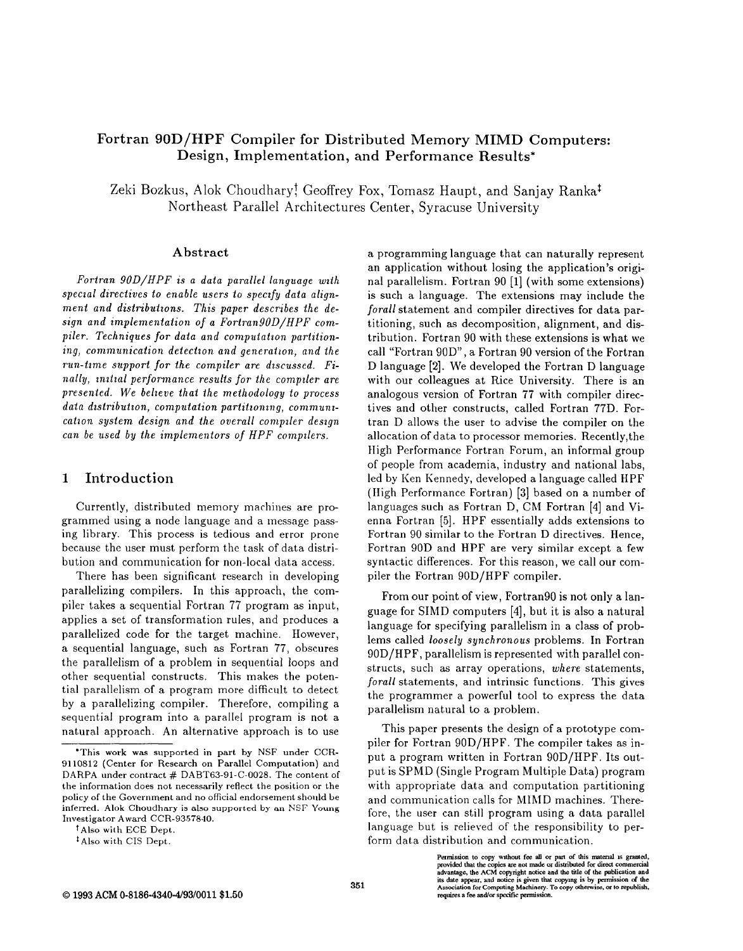# Fortran 90D/HPF Compiler for Distributed Memory MIMD Computers: Design, Implementation, and Performance Results\*

Zeki Bozkus, Alok Choudhary! Geoffrey Fox, Tomasz Haupt, and Sanjay Ranka<sup>‡</sup> Northeast Parallel Architectures Center, Syracuse University

## Abstract

Fortran 90D/HPF is a data parallel language wit special directives to enable users to specify data alignment and distributions. This paper describes the design and implementation of a Fortran $90D/HPF$  compiler. Techniques for data and computation partitioning, communication detection and generation, and the run-time support for the compiler are discussed. Finally, initial performance results for the compiler are presented. We belteve that the methodology to process data distribution, computation partitioning, communication system design and the overall compiler design can be used by the implementors of HPF compilers.

# 1 Introduction

Currently, distributed memory machines are programmed using a node language and a message passing library. This process is tedious and error prone because the user must perform the task of data distribution and communication for non-local data access.

There has been significant research in developing parallelizing compilers. In this approach, the compiler takes a sequential Fortran 77 program as input, applies a set of transformation rules, and produces a parallelized code for the target machine. However, a sequential language, such as Fortran 77, obscures the parallelism of a problem in sequential loops and other sequential constructs. This makes the potential parallelism of a program more difficult to detect by a parallelizing compiler. Therefore, compiling a sequential program into a parallel program is not a natural approach. An alternative approach is to use

tAlso with ECE Dept.

a programming language that can naturally represent an application without losing the application's original parallelism. Fortran 90 [1] (with some extensions) is such a language. The extensions may include the forall statement and compiler directives for data partitioning, such as decomposition, alignment, and distribution. Fortran 90 with these extensions is what we call "Fortran 90D", a Fortran 90 version of the Fortran D language [2]. We developed the Fortran D language with our colleagues at Rice University. There is an analogous version of Fortran 77 with compiler directives and other constructs, called Fortran 77D. Fortran D allows the user to advise the compiler on the allocation of data to processor memories. Recently, the High Performance Fortran Forum, an informal group of people from academia, industry and national labs, led by Ken Kennedy, developed a language called HPF (High Performance Fortran) [3] based on a number of languages such as Fortran D, CM Fortran [4] and Vienna Fortran [5]. HPF essentially adds extensions to Fortran 90 similar to the Fortran D directives. Hence, Fortran 90D and HPF are very similar except a few syntactic differences. For this reason, we call our compiler the Fortran 90D/HPF compiler.

From our point of view, Fortran90 is not only a language for SIMD computers [4], but it is also a natural language for specifying parallelism in a class of problems called loosely synchronous problems. In Fortran 90 D/HPF, parallelism is represented with parallel constructs, such as array operations, where statements, forall statements, and intrinsic functions. This gives the programmer a powerful tool to express the data parallelism natural to a problem.

This paper presents the design of a prototype compiler for Fortran 90D/HPF. The compiler takes as input a program written in Fortran 90D/HPF. Its output is SPMD (Single Program Multiple Data) program with appropriate data and computation partitioning and communication calls for MIMD machines. Therefore, the user can still program using a data parallel language but is relieved of the responsibility to perform data distribution and communication.

> Permission to copy without fee all or part of this material is granted,<br>provided that the copies are not made or distributed for direct commercial<br>advantage, the ACM copyright notice and the title of the publication and its date appear, and notice is given that copying is by permission of the<br>Association for Computing Machinery. To copy otherwise, or to republish, requires a fee and/or specific permission.

<sup>\*</sup>This work was supported in part by NSF under CCR-9110812 (Center for Research on Parallel Computation) and DARPA under contract # DABT63-91-C-0028. The content of the information does not necessarily reflect the position or the policy of the Government and no official endorsement should be inferred. Alok Ghoudhary is also supported by an NSF Young Investigator Award CCR-9357840.

<sup>\*</sup> Also with CIS Dept.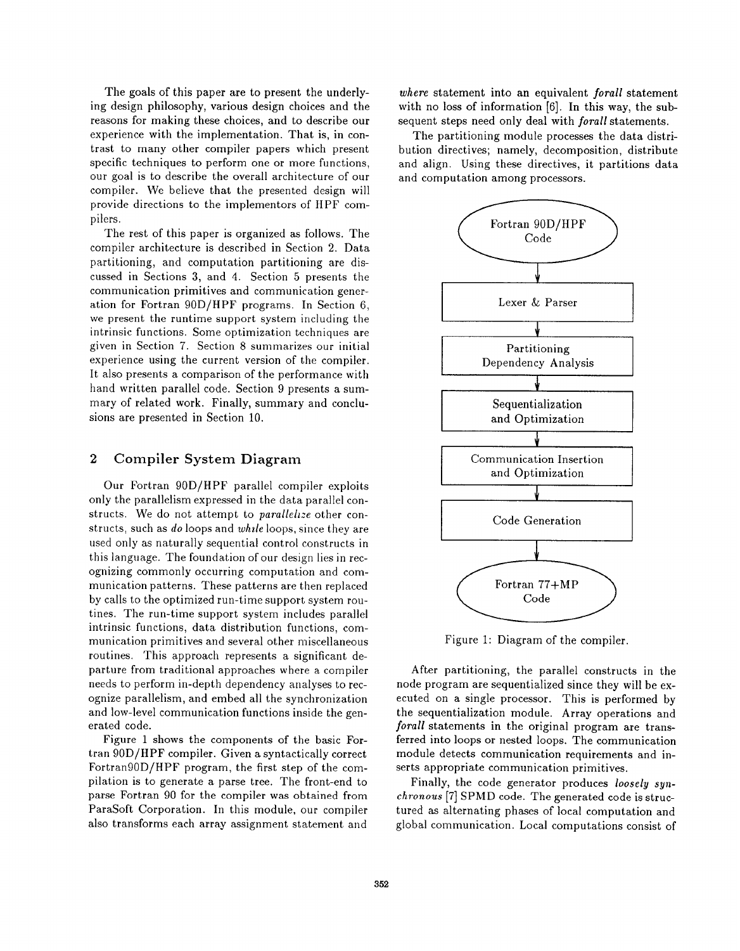The goals of this paper are to present the underlying design philosophy, various design choices and the reasons for making these choices, and to describe our experience with the implementation. That is, in contrast to many other compiler papers which present specific techniques to perform one or more functions, our goal is to describe the overall architecture of our compiler. We believe that the presented design will provide directions to the implementors of HPF compilers.

The rest of this paper is organized as follows. The compiler architecture is described in Section 2. Data partitioning, and computation partitioning are discussed in Sections 3, and 4. Section 5 presents the communication primitives and communication generation for Fortran 90D/HPF programs. In Section 6, we present the runtime support system including the intrinsic functions. Some optimization techniques are given in Section 7. Section 8 summarizes our initial experience using the current version of the compiler. It also presents a comparison of the performance with hand written parallel code. Section 9 presents a summary of related work. Finally, summary and conclusions are presented in Section 10.

## 2 Compiler System Diagram

Our Fortran 90D/HPF parallel compiler exploits only the parallelism expressed in the data parallel constructs. We do not attempt to *parallelize* other constructs, such as do loops and while loops, since they are used only as naturally sequential control constructs in this language. The foundation of our design lies in recognizing commonly occurring computation and communication patterns. These patterns are then replaced by calls to the optimized run-time support system routines. The run-time support system includes parallel intrinsic functions, data distribution functions, communication primitives and several other miscellaneous routines. This approach represents a significant departure from traditional approaches where a compiler needs to perform in-depth dependency analyses to recognize parallelism, and embed all the synchronization and low-level communication functions inside the generated code.

Figure 1 shows the components of the basic Fortran 90D/HPF compiler. Given a syntactically correct Fortran90D/HPF program, the first step of the compilation is to generate a parse tree. The front-end to parse Fortran 90 for the compiler was obtained from ParaSoft Corporation. In this module, our compi also transforms each array assignment statement and

where statement into an equivalent forall statement with no loss of information [6]. In this way, the subsequent steps need only deal with forall statements.

The partitioning module processes the data distribution directives; namely, decomposition, distribute and align. Using these directives, it partitions data and computation among processors.



Figure 1: Diagram of the compil

After partitioning, the parallel constructs in the node program are sequentialized since they will be executed on a single processor. This is performed by the sequentialization module. Array operations and forall statements in the original program are transferred into loops or nested loops. The communication module detects communication requirements and inserts appropriate communication primitives.

Finally, the code generator produces loosely synchronous [7] SPMD code. The generated code is structured as alternating phases of local computation and global communication. Local computations consist of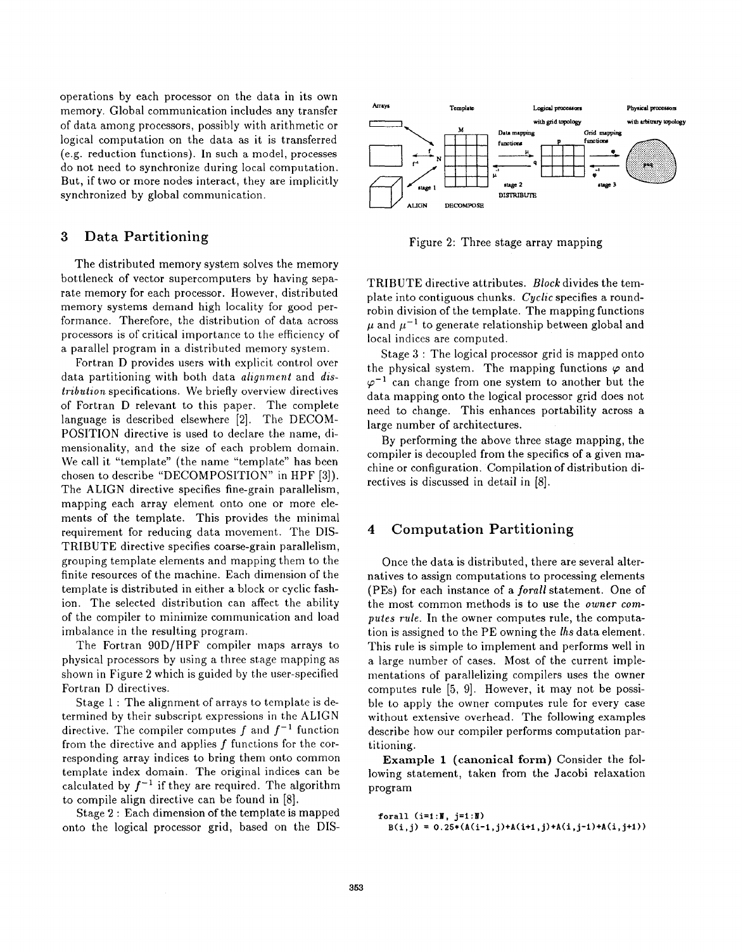operations by each processor on the data in its own memory. Global communication includes any transfer of data among processors, possibly with arithmetic or logical computation on the data as it is transferred (e.g. reduction functions). In such a model, processes do not need to synchronize during local computation. But, if two or more nodes interact, they are implicitly synchronized by global communication.

# 3 Data Partitioning

The distributed memory system solves the memory bottleneck of vector supercomputers by having separate memory for each processor. However, distributed memory systems demand high locality for good performance. Therefore, the distribution of data across processors is of critical importance to the efficiency of a parallel program in a distributed memory system.

Fortran D provides users with explicit control over data partitioning with both data *alignment* and *dis*tribution specifications. We briefly overview directives of Fortran D relevant to this paper. The complete language is described elsewhere [2]. The DECOM-POSITION directive is used to declare the name, dimensionality, and the size of each problem domain. We call it "template" (the name "template" has been chosen to describe "DECOMPOSITION" in HPF [3]). The ALIGN directive specifies fine-grain parallelism, mapping each array element onto one or more elements of the template. This provides the minimal requirement for reducing data movement. The DIS-TRIBUTE directive specifies coarse-grain parallelism, grouping template elements and mapping them to the finite resources of the machine. Each dimension of the template is distributed in either a block or cyclic fashion. The selected distribution can affect the ability of the compiler to minimize communication and load imbalance in the resulting program.

The Fortran 90D/HPF compiler maps arrays to physical processors by using a three stage mapping as shown in Figure 2 which is guided by the user-specified Fortran D directives.

Stage 1: The alignment of arrays to template is determined by their subscript expressions in the ALIGN directive. The compiler computes f and  $f^{-1}$  function from the directive and applies  $f$  functions for the corresponding array indices to bring them onto common template index domain. The original indices can be calculated by  $f^{-1}$  if they are required. The algorithm to compile align directive can be found in [8].

Stage 2: Each dimension of the template is mapped onto the logical processor grid, based on the DIS-



Figure 2: Three stage array mapping

TRIBUTE directive attributes. Block divides the template into contiguous chunks. Cyclic specifies a roundrobin division of the template. The mapping functions  $\mu$  and  $\mu^{-1}$  to generate relationship between global and local indices are computed.

Stage 3: The logical processor grid is mapped onto the physical system. The mapping functions  $\varphi$  and  $\varphi^{-1}$  can change from one system to another but the data mapping onto the logical processor grid does not need to change. This enhances portability across a large number of architectures.

By performing the above three stage mapping, the compiler is decoupled from the specifics of a given machine or configuration. Compilation of distribution directives is discussed in detail in [8].

# 4 Computation Partitioning

Once the data is distributed, there are several alternatives to assign computations to processing elements (PEs) for each instance of a forall statement. One of the most common methods is to use the owner computes rule. In the owner computes rule, the computation is assigned to the PE owning the lhs data element. This rule is simple to implement and performs well in a. large number of cases. Most of the current implementations of parallelizing compilers uses the owner computes rule [5, 9]. However, it may not be possible to apply the owner computes rule for every case without extensive overhead. The following examples describe how our compiler performs computation partitioning.

Example 1 (canonical form) Consider the following statement, taken from the Jacobi relaxation program

forall  $(i=1:1, j=1:1)$  $B(i, j) = 0.25*(A(i-1, j)+A(i+1, j)+A(i, j-1)+A(i, j+1))$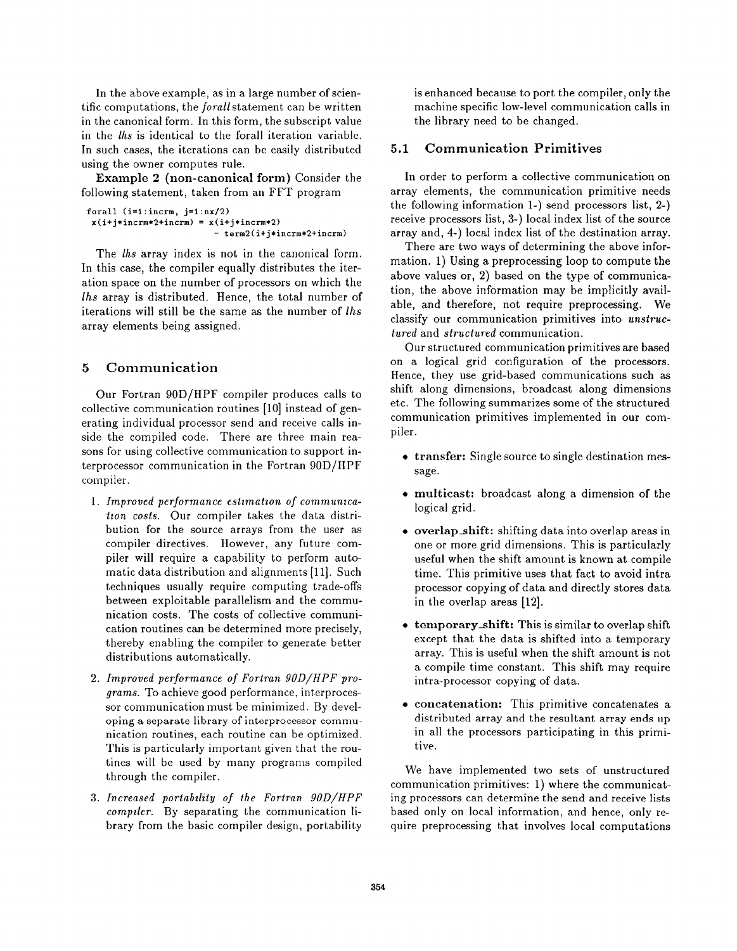In the above example, as in a large number of scientific computations, the *forall* statement can be written in the canonical form. In this form, the subscript value in the lhs is identical to the forall iteration variable. In such cases, the iterations can be easily distributed using the owner computes rule.

Example 2 (non-canonical form) Consider the following statement, taken from an FFT program

```
forall (i=1:incrm, j=1:nx/2)x(i+j*incrm+2+incrm) = x(i+j*incrm+2)- term2(i+j*incrm* 2+incrm)
```
The *lhs* array index is not in the canonical form. In this case, the compiler equally distributes the iteration space on the number of processors on which the lhs array is distributed. Hence, the total number of iterations will still be the same as the number of lhs array elements being assigned.

# 5 Communication

Our Fortran 90D/HPF compiler produces calls to collective communication routines [10] instead of generating individual processor send and receive calls inside the compiled code. There are three main reasons for using collective communication to support interprocessor communication in the Fortran 90D/HPF compiler.

- 1. Improved performance estimation of communi tion costs. Our compiler takes the data distribution for the source arrays from the user as compiler directives. However, any future compiler will require a capability to perform automatic data distribution and alignments [11]. Such techniques usually require computing trade-offs between exploitable parallelism and the communication costs. The costs of collective communication routines can be determined more precisely, thereby enabling the compiler to generate better distributions automatically.
- 2. Improved performance of Fortran 90D/HPF pro grams. To achieve good performance, interprocessor communication must be minimized. By developing a separate library of interprocessor communication routines, each routine can be optimized. This is particularly important given that the routines will be used by many programs compiled through the compiler.
- 3. Increased portability of the Fortran 90D/H compiler. By separating the communication library from the basic compiler design, portability

is enhanced because to port the compiler, only the machine specific low-level communication calls in the library need to be changed.

#### 5.1 Communication Primitives

In order to perform a collective communication on array elements, the communication primitive needs the following information 1-) send processors list, 2-) receive processors list, 3-) local index list of the source array and, 4-) local index list of the destination array.

There are two ways of determining the above information, 1) Using a preprocessing loop to compute the above values or, 2) based on the type of communication, the above information may be implicitly available, and therefore, not require preprocessing, We classify our communication primitives into unstructured and structured communication.

Our structured communication primitives are based on a logical grid configuration of the processors. Hence, they use grid-based communications such as shift along dimensions, broadcast along dimensions etc. The following summarizes some of the structured communication primitives implemented in our compiler.

- transfer: Single source to single destination message.
- multicast: broadcast along a dimension of the logical grid.
- overlap shift: shifting data into overlap areas in one or more grid dimensions. This is particularly useful when the shift amount is known at compile time. This primitive uses that fact to avoid intra processor copying of data and directly stores data in the overlap areas [12].
- temporary shift: This is similar to overlap shift except that the data is shifted into a temporary array. This is useful when the shift amount is not a compile time constant. This shift may require intra-processor copying of data.
- concatenation: This primitive concatenates a distributed array and the resultant array ends up in all the processors participating in this primitive.

We have implemented two sets of unstructured communication primitives: 1) where the communicating processors can determine the send and receive lists based only on local information, and hence, only require preprocessing that involves local computations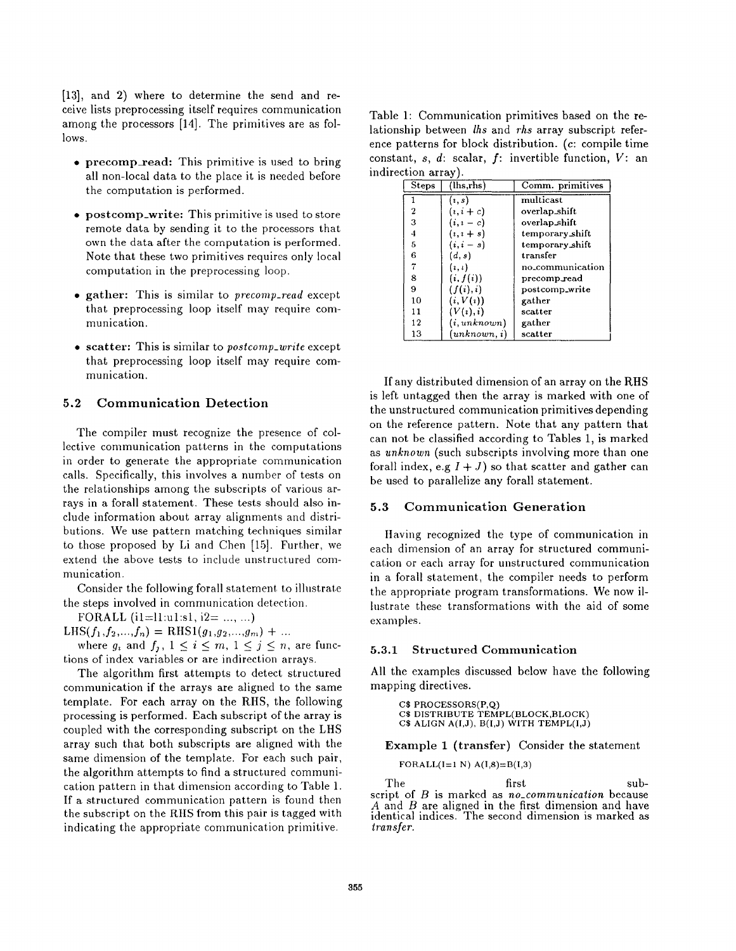[13], and 2) where to determine the send and receive lists preprocessing itself requires communication among the processors [14]. The primitives are as follows.

- precomp\_read: This primitive is used to bring all non-local data to the place it is needed before the computation is performed.
- postcomp.write: This primitive is used to store remote data by sending it to the processors that own the data after the computation is performed. Note that these two primitives requires only local computation in the preprocessing loop.
- $\bullet$  gather: This is similar to *precomp-read* except that preprocessing loop itself may require communication.
- scatter: This is similar to postcomp-write except that preprocessing loop itself may require communication.

#### Communication Detection  $5.2$

The compiler must recognize the presence of collective communication patterns in the computations in order to generate the appropriate communication calls. Specifically, this involves a number of tests on the relationships among the subscripts of various arrays in a forall statement. These tests should also include information about array alignments and distributions. We use pattern matching techniques similar to those proposed by Li and Chen [15]. Further, we extend the above tests to include unstructured communication.

Consider the following forall statement to illustrate the steps involved in communication detection.

FORALL  $(i1=11:u1:s1, i2= ..., ...)$ 

 $LHS(f_1,f_2,...,f_n) = RHS1(g_1,g_2,...,g_m) + ...$ 

where  $g_i$  and  $f_j$ ,  $1 \leq i \leq m$ ,  $1 \leq j \leq n$ , are functions of index variables or are indirection arrays.

The algorithm first attempts to detect structured communication if the arrays are aligned to the same template. For each array on the RHS, the following processing is performed. Each subscript of the array is coupled with the corresponding subscript on the LHS array such that both subscripts are aligned with the same dimension of the template. For each such pair, the algorithm attempts to find a structured communication pattern in that dimension according to Table 1. If a structured communication pattern is found then the subscript on the RHS from this pair is tagged with indicating the appropriate communication primitive.

Table 1: Communication primitives based on the relationship between lhs and rhs array subscript reference patterns for block distribution. (c: compile time constant,  $s, d$ : scalar,  $f$ : invertible function,  $V$ : an indirection arrav).

| <b>Steps</b>   | (lhs.rhs)    | Comm. primitives |  |  |
|----------------|--------------|------------------|--|--|
|                | (i, s)       | multicast        |  |  |
| 2              | $(i, i + c)$ | overlap_shift    |  |  |
| 3              | $(i, i - c)$ | overlap_shift    |  |  |
| $\overline{4}$ | $(i, i + s)$ | temporary_shift  |  |  |
| 5              | $(i,i-s)$    | temporary_shift  |  |  |
| 6              | (d, s)       | transfer         |  |  |
| 7              | (i, i)       | no_communication |  |  |
| 8              | (i, f(i))    | $precomp\_read$  |  |  |
| 9              | (f(i), i)    | postcomp_write   |  |  |
| 10             | (i, V(i))    | gather           |  |  |
| 11             | (V(i), i)    | scatter          |  |  |
| 12             | (i, unknown) | gather           |  |  |
| 13             | (unknown, i) | scatter          |  |  |
|                |              |                  |  |  |

If any distributed dimension of an array on the RHS is left untagged then the array is marked with one of the unstructured communication primitives depending on the reference pattern. Note that any pattern that can not be classified according to Tables 1, is marked as unknown (such subscripts involving more than one forall index, e.g  $I + J$ ) so that scatter and gather can be used to parallelize any forall statement.

## 5.3 Communication Generation

Having recognized the type of communication in each dimension of an array for structured communication or each array for unstructured communication in a forall statement, the compiler needs to perform the appropriate program transformations. We now illustrate these transformations with the aid of some examples.

#### 5.3.1 Structured Communication

All the examples discussed below have the following mapping directives.

```
C$ PROCESSORS(P,Q)
C$ DISTRIBUTE TEMPL(BLOCK,BLOCK)
C$ ALIGN A(I,J), B(I,J) WITH TEMPL(I,J)
```
Example 1 (transfer) Consider the statement

$$
FORALL(I=1 N) A(I,8)=B(I,3)
$$

The first subscript of  $B$  is marked as no-communication because A and B are aligned in the first dimension and have identical indices. The second dimension is marked as transfer.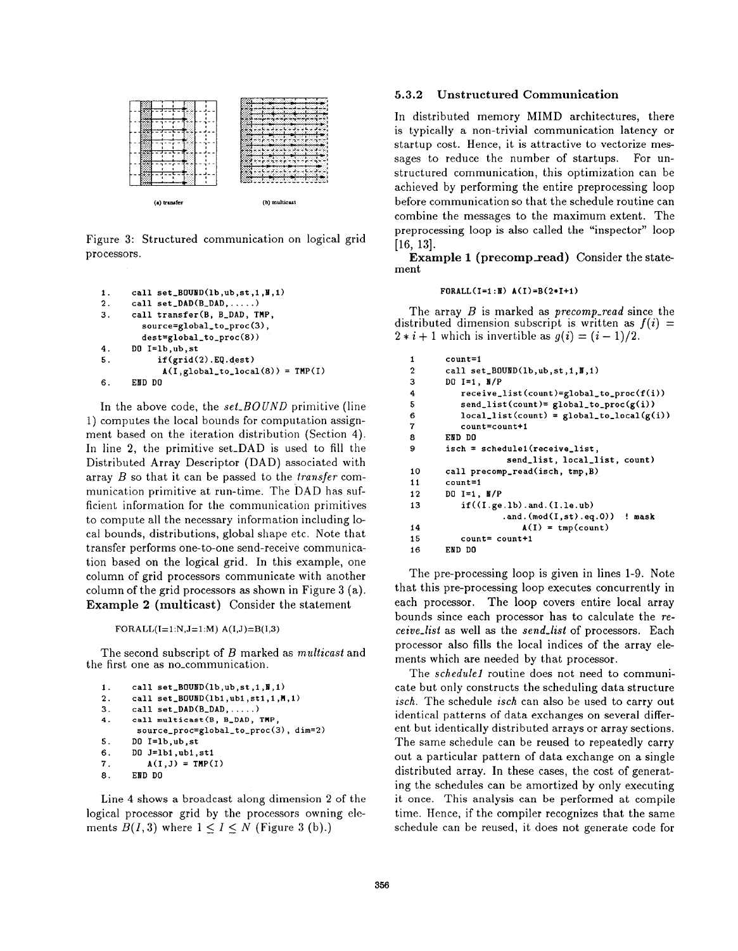

Figure 3: Structured communication on logical grid processors.

```
1. call set_BOUND(lb, ub, st, 1, N, 1)2. call set\_DAD(B\_DAD, \ldots)3. call transfer (B, B.DAD, TMP,
       source=global_to_proc(3),
       dest=global-to-proc (8))
4. DO I=lb, ub, st
5. if(grid(2).EQ.dest)
           A(I, global_to\_local(8)) = TMP(I)6. EliD DO
```
In the above code, the  $set_BOUND$  primitive (line 1) computes the local bounds for computation assignment based on the iteration distribution (Section 4). In line 2, the primitive set-DAD is used to fill the Distributed Array Descriptor (DAD) associated with array  $B$  so that it can be passed to the *transfer* communication primitive at run-time. The DAD has sufficient information for the communication primitives to compute all the necessary information including local bounds, distributions, global shape etc. Note that transfer performs one-to-one send-receive communication based on the logical grid. In this example, one column of grid processors communicate with another column of the grid processors as shown in Figure 3 (a). Example 2 (multicast) Consider the statement

FORALL $(I=1:N,J=1:M)$   $A(I,J)=B(I,3)$ 

The second subscript of B marked as *multicast* and the first one as no.communication.

```
1.
2.
3.
4.
5.
6.
7.
8.
      call set_BOWDD(1b, ub, st, 1, N, 1)call set_BQUND(1b1, ub1, st1,1, M, 1)call set\_DAD(B\_DAD, \ldots)call multicast (B, B_DAD, TMP
       source_proc=global_to_proc(3), dim=2)
      DO I=lb, ub, st
      DO J=lbi ,ubl ,stl
         A(I,J) = TMP(I)EED DO
```
Line 4 shows a broadcast along dimension 2 of the logical processor grid by the processors owning ele ments  $B(I,3)$  where  $1 \leq I \leq N$  (Figure 3 (b).

### 5.3.2 Unstructured Communication

In distributed memory MIMD architectures, there is typically a non-trivial communication latency or startup cost. Hence, it is attractive to vectorize messages to reduce the number of startups. For unstructured communication, this optimization can be achieved by performing the entire preprocessing loop before communication so that the schedule routine can combine the messages to the maximum extent. The preprocessing loop is also called the "inspector" loop [16, 13].

Example 1 (precomp\_read) Consider the statement

#### $FORMLL(I=1 : I)$   $A(I)=B(2*I+1)$

The array  $B$  is marked as  $precomp\_read$  since the distributed dimension subscript is written as  $f(i) =$  $2 * i + 1$  which is invertible as  $g(i) = (i - 1)/2$ .

```
1
2
3
4
5
6
7
8
9
10
11
12
13
14
15
16
        count=l
        call set_BOWND(1b, ub, st, 1, N, 1)DO 1=1, N/P
           receive_list(count)=global_to_prob(f(i))send\_list(count)= global_to_proc(g(i))
           local\_list(count) = global_to_local(g(i))
           count= count+l
        EIJD DO
        isch = schedule1(receive_list,
                     send_list, local_list, count)
        call precomp_read(isch, tmp, B)
        count=l
        DO I=1, N/Pif((I.get.1b).and.(I.le.ub)).and. (\text{mod}(I, st).eq.0)) ! mask
                        A(I) = \text{tmp}(\text{count})count= count+l
        END DO
```
The pre-processing loop is given in lines 1-9. Note that this pre-processing loop executes concurrently in each processor. The loop covers entire local array bounds since each processor has to calculate the receive<sub>-list</sub> as well as the send-list of processors. Each processor also fills the local indices of the array elements which are needed by that processor.

The schedule1 routine does not need to communicate but only constructs the scheduling data structure isch. The schedule isch can also be used to carry out identical patterns of data exchanges on several different but identically distributed arrays or array sections. The same schedule can be reused to repeatedly carry out a particular pattern of data exchange on a single distributed array. In these cases, the cost of generating the schedules can be amortized by only executing it once. This analysis can be performed at compile time. Hence, if the compiler recognizes that the same schedule can be reused, it does not generate code for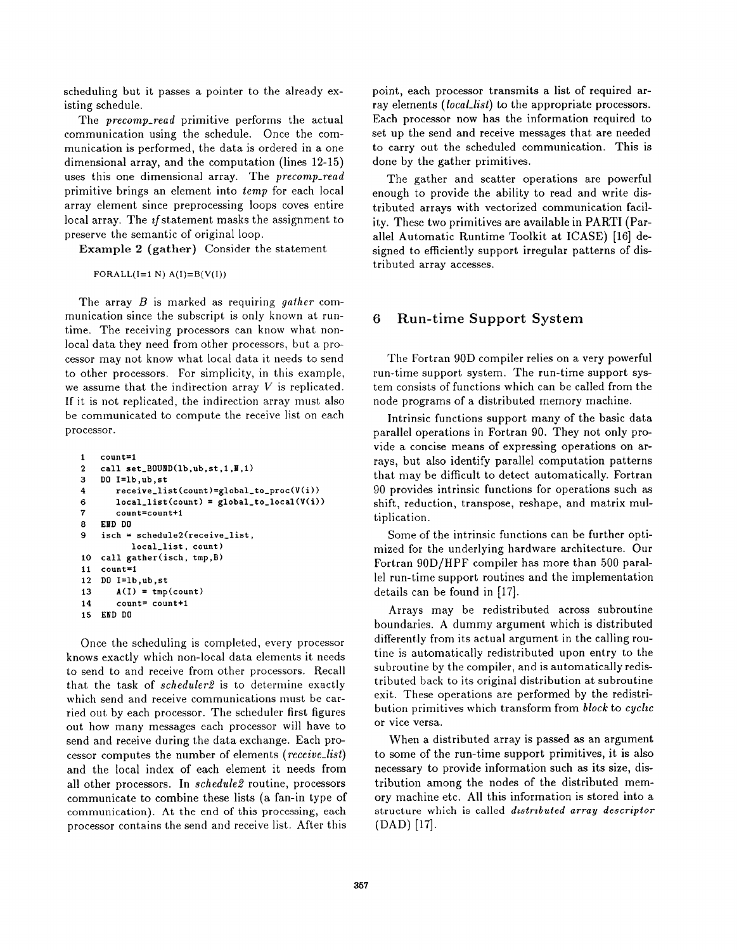scheduling but it passes a pointer to the already existing schedule.

The precomp.read primitive performs the actual communication using the schedule. Once the communication is performed, the data is ordered in a one dimensional array, and the computation (lines 12-15) uses this one dimensional array. The precomp\_read primitive brings an element into temp for each local array element since preprocessing loops coves entire local array. The  $if$  statement masks the assignment to preserve the semantic of original loop.

Example 2 (gather) Consider the statement

FORALL $(I=1 N) A(I)=B(V(I))$ 

The array  $B$  is marked as requiring gather communication since the subscript is only known at runtime. The receiving processors can know what nonlocal data they need from other processors, but a processor may not know what local data it needs to send to other processors. For simplicity, in this example, we assume that the indirection array  $V$  is replicated. If it is not replicated, the indirection array must also be communicated to compute the receive list on each processor.

```
1
2
3
4
6
7
8
9
10
11
12
13
14
15
    count=l
    call set_BOWID(1b, ub, st, 1, M, 1)DO I=lb, ub, st
        receive_list(count)=global_to\_proc(V(i))local\_list(count) = global_to_local(V(i))
        count= count+i
    EIiD DO
    isch = schedule2(receive_list,local_list, count)
   call gather (isch, tmp, B)
    count=l
    DO I=lb, ub, st
        A(I) = \text{tmp}(\text{count})count= count+l
    EMD DO
```
Once the scheduling is completed, every processor knows exactly which non-local data elements it needs to send to and receive from other processors. Recall that the task of scheduler2 is to determine exactly which send and receive communications must be carried out by each processor. The scheduler first figures out how many messages each processor will have to send and receive during the data exchange. Each processor computes the number of elements (receive\_list) and the local index of each element it needs from all other processors. In schedule2 routine, processors communicate to combine these lists (a fan-in type of communication). At the end of this processing, each processor contains the send and receive list. After this

point, each processor transmits a list of required array elements *(local<sub>-list</sub>)* to the appropriate processors. Each processor now has the information required to set up the send and receive messages that are needed to carry out the scheduled communication. This is done by the gather primitives.

The gather and scatter operations are powerful enough to provide the ability to read and write distributed arrays with vectorized communication facility. These two primitives are available in PARTI (Parallel Automatic Runtime Toolkit at ICASE) [16] designed to efficiently support irregular patterns of distributed array accesses.

# 6 Run-time Support System

The Fortran 90D compiler relies on a very powerful run-time support system. The run-time support system consists of functions which can be called from the node programs of a distributed memory machine.

Intrinsic functions support many of the basic data parallel operations in Fortran 90. They not only provide a concise means of expressing operations on arrays, but also identify parallel computation patterns that may be difficult to detect automatically. Fortran 90 provides intrinsic functions for operations such as shift, reduction, transpose, reshape, and matrix multiplication.

Some of the intrinsic functions can be further optimized for the underlying hardware architecture. Our Fortran 90D/HPF compiler has more than 500 parallel run-time support routines and the implementation details can be found in [17].

Arrays may be redistributed across subroutine boundaries. A dummy argument which is distributed differently from its actual argument in the calling routine is automatically redistributed upon entry to the subroutine by the compiler, and is automatically redistributed back to its original distribution at subroutine exit. These operations are performed by the redistribution primitives which transform from  $block$  to  $cycle$ or vice versa.

When a distributed array is passed as an argument to some of the run-time support primitives, it is also necessary to provide information such as its size, distribution among the nodes of the distributed memory machine etc. All this information is stored into a structure which is called *distributed array descriptor* (DAD) [17].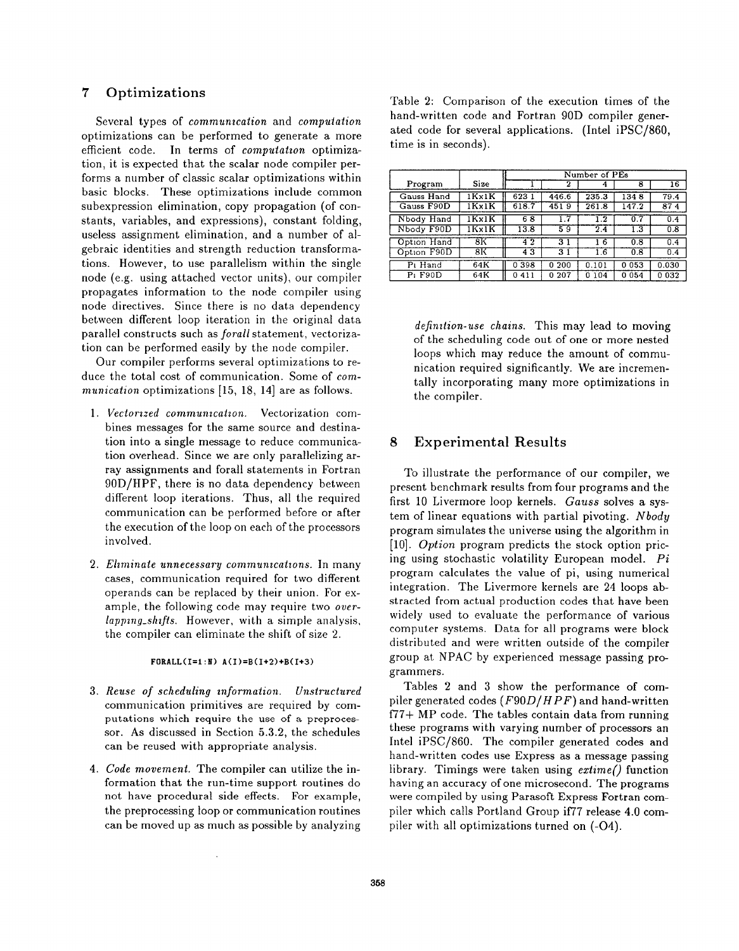# 7 Optimizations

Several types of communication and computation optimizations can be performed to generate a more efficient code. In terms of computation optimization, it is expected that the scalar node compiler performs a number of classic scalar optimizations within basic blocks. These optimizations include common subexpression elimination, copy propagation (of constants, variables, and expressions), constant folding, useless assignment elimination, and a number of algebraic identities and strength reduction transformations. However, to use parallelism within the single node (e.g. using attached vector units), our compiler propagates information to the node compiler using node directives. Since there is no data dependency between different loop iteration in the original data parallel constructs such as forall statement, vectorization can be performed easily by the node compiler.

Our compiler performs several optimizations to reduce the total cost of communication. Some of communication optimizations  $[15, 18, 14]$  are as follows.

- 1. *Vectorized communication.* Vectorization com bines messages for the same source and destination into a single message to reduce communication overhead. Since we are only parallelizing array assignments and forall statements in Fortran 90 D/HPF, there is no data dependency between different loop iterations. Thus, all the required communication can be performed before or after the execution of the loop on each of the processors involved.
- 2. *Eliminate unnecessary communications.* In man cases, communication required for two different operands can be replaced by their union. For example, the following code may require two over $lapping\_shifts$ . However, with a simple analysis, the compiler can eliminate the shift of size 2.

#### $FORMLL(I=1 : N) A(I)=B(I+2)+B(I+3)$

- 3. Reuse of scheduling information. Unstructu communication primitives are required by computations which require the use of a preprocessor. As discussed in Section 5.3.2, the schedules can be reused with appropriate analysis.
- 4. Code movement. The compiler can utilize the information that the run-time support routines do not have procedural side effects. For example, the preprocessing loop or communication routines can be moved up as much as possible by analyzing

Table 2: Comparison of the execution times of the hand-written code and Fortran 90D compiler generated code for several applications. (Intel iPSC/860, time is in seconds).

|                       |       | Number of PEs  |                |         |         |                 |  |
|-----------------------|-------|----------------|----------------|---------|---------|-----------------|--|
| Program               | Size  |                | 2              | 4       | 8       | $\overline{16}$ |  |
| Gauss Hand            | 1Kx1K | 623            | 446.6          | 235.3   | 1348    | 79.4            |  |
| Gauss F90D            | 1Kx1K | 618.7          | 4519           | 261.8   | 147.2   | 874             |  |
| Nbody Hand            | 1Kx1K | 68             |                | 1.2     | 0.7     | 0.4             |  |
| Nbody F90D            | 1Kx1K | 13.8           | 59             | 2.4     | 1.3     | 0.8             |  |
| Option Hand           | 8K    | 4 <sup>2</sup> | 3 <sub>1</sub> | 6       | 0.8     | 0.4             |  |
| Option F90D           | 8Κ    | 43             | 3 <sub>1</sub> | 1.6     | 0.8     | 0.4             |  |
| $\overline{P_1}$ Hand | 64K   | 0398           | 0200           | 0.101   | 0 0 5 3 | 0.030           |  |
| $P1$ F90D             | 64K   | 0.411          | 0 207          | 0 1 0 4 | 0 0 5 4 | 0032            |  |

definition-use chains. This may lead to moving of the scheduling code out of one or more nested loops which may reduce the amount of communication required significantly. We are incrementally incorporating many more optimizations in the compiler.

# 8 Experimental Results

To illustrate the performance of our compiler, we present benchmark results from four programs and the first 10 Livermore loop kernels. Gauss solves a system of linear equations with partial pivoting. Nbody program simulates the universe using the algorithm in [10]. Option program predicts the stock option pricing using stochastic volatility European model. Pi program calculates the value of pi, using numerical integration. The Livermore kernels are 24 loops abstracted from actual production codes that have been widely used to evaluate the performance of various computer systems. Data for all programs were block distributed and were written outside of the compiler group at N PAC by experienced message passing programmers.

Tables 2 and 3 show the performance of compiler generated codes  $(F90D/HPF)$  and hand-written f77+ MP code. The tables contain data from running these programs with varying number of processors an Intel iPSC/860. The compiler generated codes and hand-written codes use Express as a message passing library. Timings were taken using  $extime()$  function having an accuracy of one microsecond. The programs were compiled by using Parasoft Express Fortran compiler which calls Portland Group if77 release 4.0 compiler with all optimizations turned on (-04).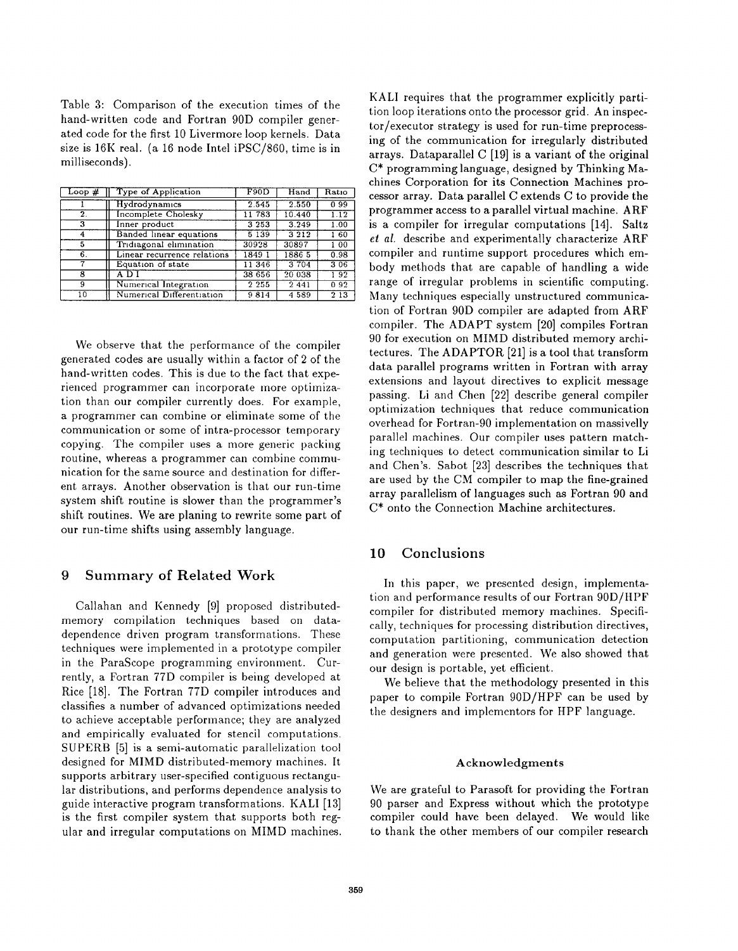Table 3: Comparison of the execution times of the hand-written code and Fortran 90D compiler generated code for the first 10 Livermore loop kernels. Data size is  $16K$  real. (a 16 node Intel iPSC/860, time is in milliseconds).

| Loop $#$ | Type of Application         | F90D    | Hand          | Ratio            |
|----------|-----------------------------|---------|---------------|------------------|
|          | Hydrodynamics               | 2.545   | 2.550         | 099              |
| 2.       | <b>Incomplete Cholesky</b>  | 11 783  | 10.440        | 1.12             |
| 3        | Inner product               | 3 2 5 3 | 3.249         | 1.00             |
| 4        | Banded linear equations     | 5 1 3 9 | 3212          | 160              |
| 5        | Tridiagonal elimination     | 30928   | 30897         | 100              |
| 6.       | Linear recurrence relations | 1849 1  | 1886 5        | 0.98             |
| 7        | Equation of state           | 11 346  | 3 704         | 306              |
| 8        | A D I                       | 38 656  | 20 038        | 192              |
| 9        | Numerical Integration       | 2 2 5 5 | $\sqrt{2}441$ | 0.92             |
| 10       | Numerical Differentiation   | 9814    | 4589          | $2\overline{13}$ |

We observe that the performance of the compiler generated codes are usually within a factor of 2 of the hand-written codes. This is due to the fact that experienced programmer can incorporate more optimization than our compiler currently does. For example, a programmer can combine or eliminate some of the communication or some of intra-processor temporary copying. The compiler uses a more generic packing routine, whereas a programmer can combine communication for the same source and destination for different arrays. Another observation is that our run-time system shift routine is slower than the programmer's shift routines. We are planing to rewrite some part of our run-time shifts using assembly language.

## 9 Summary of Related Work

Callahan and Kennedy [9] proposed distributedmemory compilation techniques based on datadependence driven program transformations. These techniques were implemented in a prototype compiler in the ParaScope programming environment. Currently, a Fortran 77D compiler is being developed at Rice [18]. The Fortran 77D compiler introduces and classifies a number of advanced optimizations needed to achieve acceptable performance; they are analyzed and empirically evaluated for stencil computations. SUPERB [5] is a semi-automatic parallelization tool designed for MIMD distributed-memory machines. It supports arbitrary user-specified contiguous rectangular distributions, and performs dependence analysis to guide interactive program transformations. KAL1 [13] is the first compiler system that supports both regular and irregular computations on MIMD machines. KAL1 requires that the programmer explicitly partition loop iterations onto the processor grid. An inspector/executor strategy is used for run-time preprocessing of the communication for irregularly distributed arrays. Dataparallel C [19] is a variant of the original C\* programming language, designed by Thinking Machines Corporation for its Connection Machines processor array. Data parallel C extends C to provide the programmer access to a parallel virtual machine. ARF is a compiler for irregular computations [14]. Saltz et al. describe and experimentally characterize ARF compiler and runtime support procedures which embody methods that are capable of handling a wide range of irregular problems in scientific computing. Many techniques especially unstructured communication of Fortran 90D compiler are adapted from ARF compiler. The ADAPT system [20] compiles Fortran 90 for execution on hIIMD distributed memory architectures. The ADAPTOR [21] is a tool that transform data parallel programs written in Fortran with array extensions and layout directives to explicit message passing. Li and Chen [22] describe general compiler optimization techniques that reduce communication overhead for Fortran-90 implementation on massively parallel machines. Our compiler uses pattern matching techniques to detect communication similar to Li and Chen's. Sabot [23] describes the techniques that are used by the CM compiler to map the fine-grained array parallelism of languages such as Fortran 90 and  $C^*$  onto the Connection Machine architectures.

# 10 Conclusions

In this paper, we presented design, implementation and performance results of our Fortran 90D/HPF compiler for distributed memory machines. Specifically, techniques for processing distribution directives, computation partitioning, communication detection and generation were presented. We also showed that our design is portable, yet efficient.

We believe that the methodology presented in this paper to compile Fortran 90D/HPF can be used by the designers and implementors for HPF language.

### Acknowledgments

We are grateful to Parasoft for providing the Fortran 90 parser and Express without which the prototype compiler could have been delayed. We would like to thank the other members of our compiler research